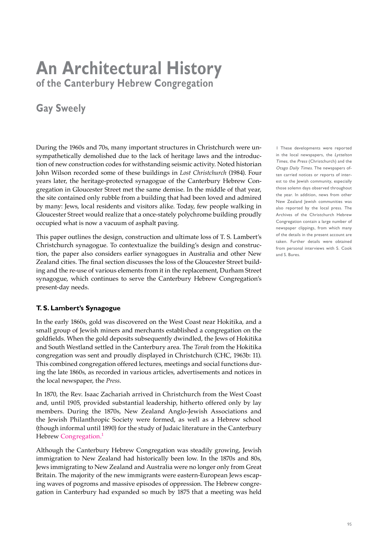# **An Architectural History of the Canterbury Hebrew Congregation**

## **Gay Sweely**

During the 1960s and 70s, many important structures in Christchurch were unsympathetically demolished due to the lack of heritage laws and the introduction of new construction codes for withstanding seismic activity. Noted historian John Wilson recorded some of these buildings in *Lost Christchurch* (1984). Four years later, the heritage-protected synagogue of the Canterbury Hebrew Congregation in Gloucester Street met the same demise. In the middle of that year, the site contained only rubble from a building that had been loved and admired by many: Jews, local residents and visitors alike. Today, few people walking in Gloucester Street would realize that a once-stately polychrome building proudly occupied what is now a vacuum of asphalt paving.

This paper outlines the design, construction and ultimate loss of T. S. Lambert's Christchurch synagogue. To contextualize the building's design and construction, the paper also considers earlier synagogues in Australia and other New Zealand cities. The final section discusses the loss of the Gloucester Street building and the re-use of various elements from it in the replacement, Durham Street synagogue, which continues to serve the Canterbury Hebrew Congregation's present-day needs.

### **T. S. Lambert's Synagogue**

In the early 1860s, gold was discovered on the West Coast near Hokitika, and a small group of Jewish miners and merchants established a congregation on the goldfields. When the gold deposits subsequently dwindled, the Jews of Hokitika and South Westland settled in the Canterbury area. The *Torah* from the Hokitika congregation was sent and proudly displayed in Christchurch (CHC, 1963b: 11). This combined congregation offered lectures, meetings and social functions during the late 1860s, as recorded in various articles, advertisements and notices in the local newspaper, the *Press*.

In 1870, the Rev. Isaac Zachariah arrived in Christchurch from the West Coast and, until 1905, provided substantial leadership, hitherto offered only by lay members. During the 1870s, New Zealand Anglo-Jewish Associations and the Jewish Philanthropic Society were formed, as well as a Hebrew school (though informal until 1890) for the study of Judaic literature in the Canterbury Hebrew Congregation.<sup>1</sup>

Although the Canterbury Hebrew Congregation was steadily growing, Jewish immigration to New Zealand had historically been low. In the 1870s and 80s, Jews immigrating to New Zealand and Australia were no longer only from Great Britain. The majority of the new immigrants were eastern-European Jews escaping waves of pogroms and massive episodes of oppression. The Hebrew congregation in Canterbury had expanded so much by 1875 that a meeting was held 1 These developments were reported in the local newspapers, the Lyttelton Times, the Press (Christchurch) and the Otago Daily Times. The newspapers often carried notices or reports of interest to the Jewish community, especially those solemn days observed throughout the year. In addition, news from other New Zealand Jewish communities was also reported by the local press. The Archives of the Christchurch Hebrew Congregation contain a large number of newspaper clippings, from which many of the details in the present account are taken. Further details were obtained from personal interviews with S. Cook and S. Bures.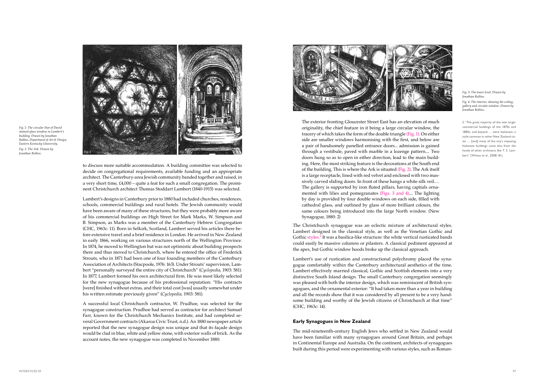The exterior fronting Gloucester Street East has an elevation of much originality, the chief feature in it being a large circular window, the tracery of which takes the form of the double triangle (Fig. 1). On either side are smaller windows harmonising with the first, and below are a pair of handsomely panelled entrance doors... admission is gained through a vestibule, paved with marble in a lozenge pattern.... Two doors hung so as to open in either direction, lead to the main building. Here, the most striking feature is the decorations at the South end of the building. This is where the Ark is situated (Fig. 2). The Ark itself is a large receptacle, lined with red velvet and enclosed with two massively carved sliding doors. In front of these hangs a white silk veil.… The gallery is supported by iron fluted pillars, having capitals ornamented with lilies and pomegranates (Figs. 3 and 4).... The lighting by day is provided by four double windows on each side, filled with cathedral glass, and outlined by glass of more brilliant colours, the same colours being introduced into the large North window. (New Synagogue, 1880: 2)

The Christchurch synagogue was an eclectic mixture of architectural styles. Lambert designed in the classical style, as well as the Venetian Gothic and Gothic styles.<sup>2</sup> It was a basilica-like structure: the white vertical rusticated bands could easily be massive columns or pilasters. A classical pediment appeared at the apex, but Gothic window hoods broke up the classical approach.

Lambert's use of rustication and constructional polychromy placed the synagogue comfortably within the Canterbury architectural aesthetics of the time. Lambert effectively married classical, Gothic and Scottish elements into a very distinctive South Island design. The small Canterbury congregation seemingly was pleased with both the interior design, which was reminiscent of British synagogues, and the ornamental exterior: "It had taken more than a year in building and all the records show that it was considered by all present to be a very handsome building and worthy of the Jewish citizens of Christchurch at that time" (CHC, 1963c: 14).

#### **Early Synagogues in New Zealand**

The mid-nineteenth-century English Jews who settled in New Zealand would have been familiar with many synagogues around Great Britain, and perhaps in Continental Europe and Australia. On the continent, architects of synagogues built during this period were experimenting with various styles, such as Roman-

to discuss more suitable accommodation. A building committee was selected to decide on congregational requirements, available funding and an appropriate architect. The Canterbury-area Jewish community banded together and raised, in a very short time, £4,000 – quite a feat for such a small congregation. The prominent Christchurch architect Thomas Stoddart Lambert (1840-1915) was selected.

Lambert's designs in Canterbury prior to 1880 had included churches, residences, schools, commercial buildings and rural hotels. The Jewish community would have been aware of many of these structures, but they were probably more aware of his commercial buildings on High Street for Mark Marks, W. Simpson and B. Simpson, as Marks was a member of the Canterbury Hebrew Congregation (CHC, 1963c: 11). Born in Selkirk, Scotland, Lambert served his articles there before extensive travel and a brief residence in London. He arrived in New Zealand in early 1866, working on various structures north of the Wellington Province. In 1874, he moved to Wellington but was not optimistic about building prospects there and thus moved to Christchurch, where he entered the office of Frederick Strouts, who in 1871 had been one of four founding members of the Canterbury Association of Architects (Stacpoole, 1976: 163). Under Strouts' supervision, Lambert "personally surveyed the entire city of Christchurch" (*Cyclopedia*, 1903: 581). In 1877, Lambert formed his own architectural firm. He was most likely selected for the new synagogue because of his professional reputation: "His contracts [were] finished without extras, and their total cost [was] usually somewhat under his written estimate previously given" (*Cyclopedia,* 1903: 581).

A successful local Christchurch contractor, W. Prudhoe, was selected for the synagogue construction. Prudhoe had served as contractor for architect Samuel Farr, known for the Christchurch Mechanics Institute, and had completed several Government contracts (Akaroa Civic Trust, n.d.). An 1880 newspaper article reported that the new synagogue design was unique and that its façade design would be clad in blue, white and yellow stone, with exterior walls of brick. As the account notes, the new synagogue was completed in November 1880:

*Fig. 1: The circular Star of David stained-glass window in Lambert's building. Drawn by Jonathan Rollins, Department of Art & Design, Eastern Kentucky University. Fig. 2: The Ark. Drawn by Jonathan Rollins.*



#### *Fig. 3: The lower level. Drawn by Jonathan Rollins. Fig. 4: The interior, showing the ceiling, gallery and circular window. Drawn by Jonathan Rollins.*



2 "The great majority of the new larger commercial buildings of the 1870s and 1880s, and beyond … were Italianate, a style common in other New Zealand cities … [and] many of the city's imposing Italianate buildings came also from the hands of other architects like T. S. Lambert" (Wilson et al., 2008: 81).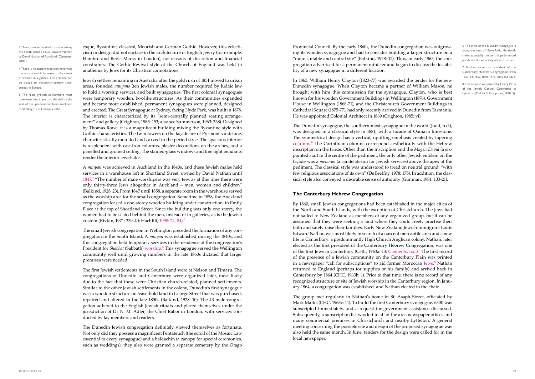Provincial Council. By the early 1860s, the Dunedin congregation was outgrowing its wooden synagogue and had to consider building a larger structure on a "more suitable and central site" (Balkind, 1928: 12). Thus, in early 1863, the congregation advertised for a permanent minister and began to discuss the feasibility of a new synagogue in a different location.

In 1863, William Henry Clayton (1823-77) was awarded the tender for the new Dunedin synagogue. When Clayton became a partner of William Mason, he brought with him this commission for the synagogue. Clayton, who is best known for his wooden Government Buildings in Wellington (1876), Government House in Wellington (1868-71), and the Christchurch Government Buildings in Cathedral Square (1875-77), had only recently arrived in Dunedin from Tasmania. He was appointed Colonial Architect in 1869 (Crighton, 1985: vi).

The Dunedin synagogue, the southern-most synagogue in the world (Judd, n.d.), was designed in a classical style in 1881, with a facade of Oamaru limestone. The symmetrical design has a vertical, uplifting emphasis created by tapering columns.<sup>6</sup> The Corinthian columns correspond aesthetically with the Hebrew inscription on the frieze. Other than the inscription and the *Magen David* (a sixpointed star) in the centre of the pediment, the only other Jewish emblem on the façade was a *menorah* (a candelabrum for Jewish services) above the apex of the pediment. The classical style was understood to tread on neutral ground, "with few religious associations of its own" (De Breffny, 1978: 175). In addition, the classical style also conveyed a desirable sense of antiquity (Gunman, 1981: 103-21).

#### **The Canterbury Hebrew Congregation**

By 1860, small Jewish congregations had been established in the major cities of the North and South Islands, with the exception of Christchurch. The Jews had not sailed to New Zealand as members of any organized group, but it can be assumed that they were seeking a land where they could freely practise their faith and safely raise their families. Early New Zealand Jewish-immigrant Louis Edward Nathan was most likely in search of a nascent mercantile area and a new life in Canterbury: a predominantly High Church Anglican colony. Nathan, later elected as the first president of the Canterbury Hebrew Congregation, was one of the first Jews in Canterbury (CHC, 1963a: 13; Clements, n.d.).<sup>7</sup> The first record of the presence of a Jewish community on the Canterbury Plain was printed in a newspaper "call for subscriptions" to aid former Moroccan Jews.<sup>8</sup> Nathan returned to England (perhaps for supplies or his family) and arrived back in Canterbury by 1864 (CHC, 1963b: 1). Prior to that time, there is no record of any recognized structure or site of Jewish worship in the Canterbury region. In January 1864, a congregation was established, and Nathan elected to the chair.

The group met regularly in Nathan's home in St. Asaph Street, officiated by Mark Marks (CHC, 1963c: 11). To build the first Canterbury synagogue, £300 was subscripted immediately, and a request for government assistance discussed. Subsequently, a subscription list was left in all of the area newspaper offices and many commercial premises in Christchurch and nearby Lyttelton. A general meeting concerning the possible site and design of the proposed synagogue was also held the same month. In June, tenders for the design were called for in the local newspaper.

esque, Byzantine, classical, Moorish and German Gothic. However, this eclecticism in design did not surface in the architecture of English Jewry (for example, Hambro and Bevis Marks in London), for reasons of discretion and financial constraints. The Gothic Revival style of the Church of England was held in anathema by Jews for its Christian connotations.

Jewish settlers remaining in Australia after the gold rush of 1851 moved to urban areas, founded *minyans* (ten Jewish males, the number required by Judaic law to hold a worship service), and built synagogues. The first colonial synagogues were temporary wooden, box-like structures. As their communities expanded and became more established, permanent synagogues were planned, designed and erected. The Great Synagogue at Sydney, facing Hyde Park, was built in 1878. The interior is characterized by its "semi-centrally planned seating arrangement" and gallery (Crighton, 1985: 153; also see Summerson, 1963: 338). Designed by Thomas Rowe, it is a magnificent building mixing the Byzantine style with Gothic characteristics. The twin towers on the façade are of Pyrmont sandstone, characteristically moulded and carved in the period style. The spacious interior is resplendent with cast-iron columns, plaster decorations on the arches, and a panelled and groined ceiling. The stained-glass windows and fine light pendants render the interior jewel-like.

A *minyan* was achieved in Auckland in the 1840s, and these Jewish males held services in a warehouse loft in Shortland Street, owned by David Nathan until  $1847<sup>3</sup>$  "The number of male worshipers was very few, as at this time there were only thirty-three Jews altogether in Auckland – men, women and children" (Balkind, 1928: 23). From 1847 until 1858, a separate room in the warehouse served as the worship area for the small congregation. Sometime in 1858, the Auckland congregation leased a one-storey wooden building under construction, in Emily Place at the top of Shortland Street. Since the building was only one storey, the women had to be seated behind the men, instead of in galleries, as is the Jewish custom (Rivkin, 1971: 339-40; Hachlili, 1998: 24, 84).<sup>4</sup>

The small Jewish congregation in Wellington preceded the formation of any congregation in the South Island. A *minyan* was established during the 1840s, and this congregation held temporary services in the residence of the congregation's President for *Shabbat* (Sabbath) worship.<sup>5</sup> This synagogue served the Wellington community well until growing numbers in the late 1860s dictated that larger premises were needed.

The first Jewish settlements in the South Island were at Nelson and Timaru. The congregations of Dunedin and Canterbury were organized later, most likely due to the fact that these were Christian church-related, planned settlements. Similar to the other Jewish settlements in the colony, Dunedin's first synagogue was a wooden structure on lease-hold land in George Street that was purchased, repaired and altered in the late 1850s (Balkind, 1928: 10). The 43-male congregation adhered to the English Jewish rituals and placed themselves under the jurisdiction of Dr N. M. Adler, the Chief Rabbi in London, with services conducted by lay members and readers.

The Dunedin Jewish congregation definitely viewed themselves as fortunate. Not only did they possess a magnificent Pentateuch (the scroll of the Mosaic Law essential to every synagogue) and a baldachin (a canopy for special ceremonies, such as weddings), they also were granted a separate cemetery by the Otago

3 There is no archival information linking the South Island's Louis Edward Nathan to David Nathan of Auckland (Clements, 2008).

4 There is no ancient tradition governing the separation of the sexes or placement of women in a gallery. The practice can be traced to thirteenth-century synagogues in Europe.

5 The rapid growth in numbers must have been due, in part, to the shift of the seat of the government from Auckland to Wellington in February 1865.

6 The style of the Dunedin synagogue is along the lines of More Park, Hertfordshire, especially the central pedimented porch and the verticality of the structure.

7 Nathan served as president of the Canterbury Hebrew Congregation from 1863-64, 1867, 1870, 1873, 1875 and 1879.

8 This request was placed by Henry Moss of the Jewish Central Committee in Lyttelton (Call for Subscriptions, 1860: 5).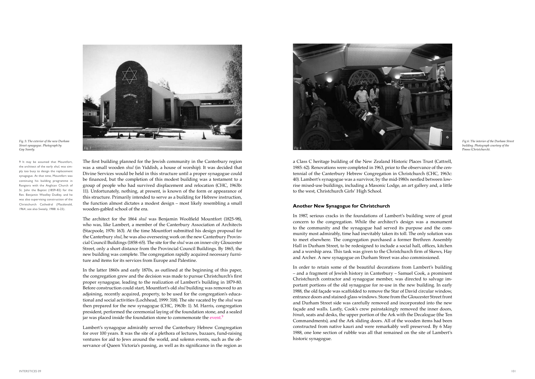a Class C heritage building of the New Zealand Historic Places Trust (Cattrell, 1985: 62). Renovations were completed in 1963, prior to the observance of the centennial of the Canterbury Hebrew Congregation in Christchurch (CHC, 1963c: 40). Lambert's synagogue was a survivor, by the mid-1980s nestled between lowrise mixed-use buildings, including a Masonic Lodge, an art gallery and, a little to the west, Christchurch Girls' High School.

#### **Another New Synagogue for Christchurch**

In 1987, serious cracks in the foundations of Lambert's building were of great concern to the congregation. While the architect's design was a monument to the community and the synagogue had served its purpose and the community most admirably, time had inevitably taken its toll. The only solution was to meet elsewhere. The congregation purchased a former Brethren Assembly Hall in Durham Street, to be redesigned to include a social hall, offices, kitchen and a worship area. This task was given to the Christchurch firm of Skews, Hay and Archer. A new synagogue on Durham Street was also commissioned.

In order to retain some of the beautiful decorations from Lambert's building – and a fragment of Jewish history in Canterbury – Samuel Cook, a prominent Christchurch contractor and synagogue member, was directed to salvage important portions of the old synagogue for re-use in the new building. In early 1988, the old façade was scaffolded to remove the Star of David circular window, entrance doors and stained-glass windows. Stone from the Gloucester Street front and Durham Street side was carefully removed and incorporated into the new façade and walls. Lastly, Cook's crew painstakingly removed the inner doors, *bimah*, seats and desks, the upper portion of the Ark with the Decalogue (the Ten Commandments), and the Ark sliding doors. All of the wooden items had been constructed from native kauri and were remarkably well preserved. By 6 May 1988, one lone section of rubble was all that remained on the site of Lambert's historic synagogue.

In the latter 1860s and early 1870s, as outlined at the beginning of this paper, the congregation grew and the decision was made to pursue Christchurch's first proper synagogue, leading to the realization of Lambert's building in 1879-80. Before construction could start, Mountfort's old *shul* building was removed to an adjoining, recently acquired, property, to be used for the congregation's educational and social activities (Lochhead, 1999: 318). The site vacated by the *shul* was then prepared for the new synagogue (CHC, 1963b: 1). M. Harris, congregation president, performed the ceremonial laying of the foundation stone, and a sealed jar was placed inside the foundation stone to commemorate the event.<sup>9</sup>

The first building planned for the Jewish community in the Canterbury region was a small wooden *shul* (in Yiddish, a house of worship). It was decided that Divine Services would be held in this structure until a proper synagogue could be financed, but the completion of this modest building was a testament to a group of people who had survived displacement and relocation (CHC, 1963b: 11). Unfortunately, nothing, at present, is known of the form or appearance of this structure. Primarily intended to serve as a building for Hebrew instruction, the function almost dictates a modest design – most likely resembling a small wooden-gabled school of the era.

The architect for the 1864 *shul* was Benjamin Woolfield Mountfort (1825-98), who was, like Lambert, a member of the Canterbury Association of Architects (Stacpoole, 1976: 163). At the time Mountfort submitted his design proposal for the Canterbury *shul*, he was also overseeing work on the new Canterbury Provincial Council Buildings (1858-65). The site for the *shul* was on inner-city Gloucester Street, only a short distance from the Provincial Council Buildings. By 1865, the new building was complete. The congregation rapidly acquired necessary furniture and items for its services from Europe and Palestine.

Lambert's synagogue admirably served the Canterbury Hebrew Congregation for over 100 years. It was the site of a plethora of lectures, bazaars, fund-raising ventures for aid to Jews around the world, and solemn events, such as the observance of Queen Victoria's passing, as well as its significance in the region as



*Fig 6: The interior of the Durham Street building. Photograph courtesy of the*  Press *(Christchurch).*

*Fig. 5: The exterior of the new Durham Street synagogue. Photograph by* 



9 It may be assumed that Mountfort, the architect of the early shul, was simply too busy to design the replacement synagogue. At that time, Mountfort was continuing his building programme in Rangiora with the Anglican Church of St. John the Baptist (1859-82) for the Rev. Benjamin Woolley Dudley, and he was also supervising construction of the Christchurch Cathedral (Macdonald, 1964; see also Sweely, 1988: 6-23).